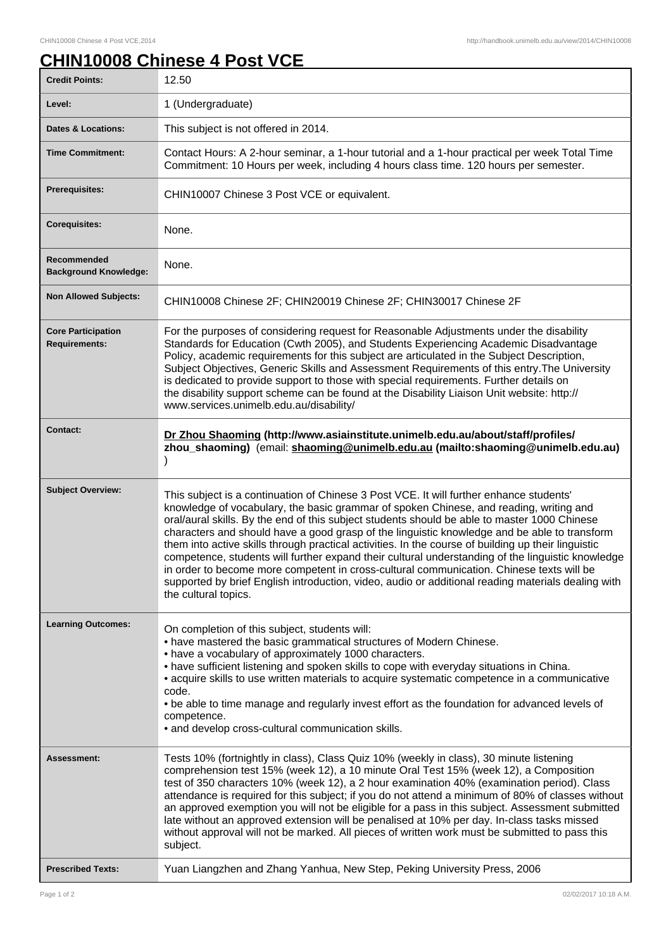## **CHIN10008 Chinese 4 Post VCE**

| <b>Credit Points:</b>                             | 12.50                                                                                                                                                                                                                                                                                                                                                                                                                                                                                                                                                                                                                                                                                                                                                                                                                   |
|---------------------------------------------------|-------------------------------------------------------------------------------------------------------------------------------------------------------------------------------------------------------------------------------------------------------------------------------------------------------------------------------------------------------------------------------------------------------------------------------------------------------------------------------------------------------------------------------------------------------------------------------------------------------------------------------------------------------------------------------------------------------------------------------------------------------------------------------------------------------------------------|
| Level:                                            | 1 (Undergraduate)                                                                                                                                                                                                                                                                                                                                                                                                                                                                                                                                                                                                                                                                                                                                                                                                       |
| <b>Dates &amp; Locations:</b>                     | This subject is not offered in 2014.                                                                                                                                                                                                                                                                                                                                                                                                                                                                                                                                                                                                                                                                                                                                                                                    |
| <b>Time Commitment:</b>                           | Contact Hours: A 2-hour seminar, a 1-hour tutorial and a 1-hour practical per week Total Time<br>Commitment: 10 Hours per week, including 4 hours class time. 120 hours per semester.                                                                                                                                                                                                                                                                                                                                                                                                                                                                                                                                                                                                                                   |
| <b>Prerequisites:</b>                             | CHIN10007 Chinese 3 Post VCE or equivalent.                                                                                                                                                                                                                                                                                                                                                                                                                                                                                                                                                                                                                                                                                                                                                                             |
| <b>Corequisites:</b>                              | None.                                                                                                                                                                                                                                                                                                                                                                                                                                                                                                                                                                                                                                                                                                                                                                                                                   |
| Recommended<br><b>Background Knowledge:</b>       | None.                                                                                                                                                                                                                                                                                                                                                                                                                                                                                                                                                                                                                                                                                                                                                                                                                   |
| <b>Non Allowed Subjects:</b>                      | CHIN10008 Chinese 2F; CHIN20019 Chinese 2F; CHIN30017 Chinese 2F                                                                                                                                                                                                                                                                                                                                                                                                                                                                                                                                                                                                                                                                                                                                                        |
| <b>Core Participation</b><br><b>Requirements:</b> | For the purposes of considering request for Reasonable Adjustments under the disability<br>Standards for Education (Cwth 2005), and Students Experiencing Academic Disadvantage<br>Policy, academic requirements for this subject are articulated in the Subject Description,<br>Subject Objectives, Generic Skills and Assessment Requirements of this entry. The University<br>is dedicated to provide support to those with special requirements. Further details on<br>the disability support scheme can be found at the Disability Liaison Unit website: http://<br>www.services.unimelb.edu.au/disability/                                                                                                                                                                                                        |
| <b>Contact:</b>                                   | Dr Zhou Shaoming (http://www.asiainstitute.unimelb.edu.au/about/staff/profiles/<br>zhou_shaoming) (email: shaoming@unimelb.edu.au (mailto:shaoming@unimelb.edu.au)                                                                                                                                                                                                                                                                                                                                                                                                                                                                                                                                                                                                                                                      |
| <b>Subject Overview:</b>                          | This subject is a continuation of Chinese 3 Post VCE. It will further enhance students'<br>knowledge of vocabulary, the basic grammar of spoken Chinese, and reading, writing and<br>oral/aural skills. By the end of this subject students should be able to master 1000 Chinese<br>characters and should have a good grasp of the linguistic knowledge and be able to transform<br>them into active skills through practical activities. In the course of building up their linguistic<br>competence, students will further expand their cultural understanding of the linguistic knowledge<br>in order to become more competent in cross-cultural communication. Chinese texts will be<br>supported by brief English introduction, video, audio or additional reading materials dealing with<br>the cultural topics. |
| <b>Learning Outcomes:</b>                         | On completion of this subject, students will:<br>• have mastered the basic grammatical structures of Modern Chinese.<br>• have a vocabulary of approximately 1000 characters.<br>• have sufficient listening and spoken skills to cope with everyday situations in China.<br>• acquire skills to use written materials to acquire systematic competence in a communicative<br>code.<br>. be able to time manage and regularly invest effort as the foundation for advanced levels of<br>competence.<br>· and develop cross-cultural communication skills.                                                                                                                                                                                                                                                               |
| Assessment:                                       | Tests 10% (fortnightly in class), Class Quiz 10% (weekly in class), 30 minute listening<br>comprehension test 15% (week 12), a 10 minute Oral Test 15% (week 12), a Composition<br>test of 350 characters 10% (week 12), a 2 hour examination 40% (examination period). Class<br>attendance is required for this subject; if you do not attend a minimum of 80% of classes without<br>an approved exemption you will not be eligible for a pass in this subject. Assessment submitted<br>late without an approved extension will be penalised at 10% per day. In-class tasks missed<br>without approval will not be marked. All pieces of written work must be submitted to pass this<br>subject.                                                                                                                       |
| <b>Prescribed Texts:</b>                          | Yuan Liangzhen and Zhang Yanhua, New Step, Peking University Press, 2006                                                                                                                                                                                                                                                                                                                                                                                                                                                                                                                                                                                                                                                                                                                                                |